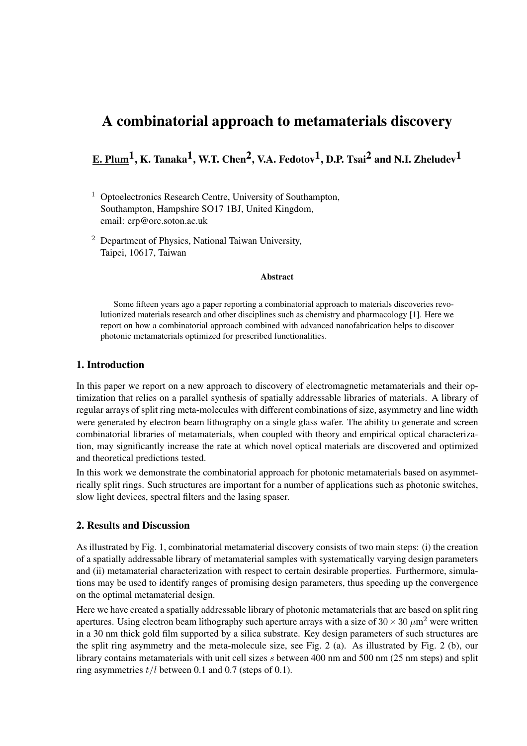# A combinatorial approach to metamaterials discovery

# E. Plum<sup>1</sup>, K. Tanaka<sup>1</sup>, W.T. Chen<sup>2</sup>, V.A. Fedotov<sup>1</sup>, D.P. Tsai<sup>2</sup> and N.I. Zheludev<sup>1</sup>

- $1$  Optoelectronics Research Centre, University of Southampton, Southampton, Hampshire SO17 1BJ, United Kingdom, email: erp@orc.soton.ac.uk
- <sup>2</sup> Department of Physics, National Taiwan University, Taipei, 10617, Taiwan

#### Abstract

Some fifteen years ago a paper reporting a combinatorial approach to materials discoveries revolutionized materials research and other disciplines such as chemistry and pharmacology [1]. Here we report on how a combinatorial approach combined with advanced nanofabrication helps to discover photonic metamaterials optimized for prescribed functionalities.

### 1. Introduction

In this paper we report on a new approach to discovery of electromagnetic metamaterials and their optimization that relies on a parallel synthesis of spatially addressable libraries of materials. A library of regular arrays of split ring meta-molecules with different combinations of size, asymmetry and line width were generated by electron beam lithography on a single glass wafer. The ability to generate and screen combinatorial libraries of metamaterials, when coupled with theory and empirical optical characterization, may significantly increase the rate at which novel optical materials are discovered and optimized and theoretical predictions tested.

In this work we demonstrate the combinatorial approach for photonic metamaterials based on asymmetrically split rings. Such structures are important for a number of applications such as photonic switches, slow light devices, spectral filters and the lasing spaser.

#### 2. Results and Discussion

As illustrated by Fig. 1, combinatorial metamaterial discovery consists of two main steps: (i) the creation of a spatially addressable library of metamaterial samples with systematically varying design parameters and (ii) metamaterial characterization with respect to certain desirable properties. Furthermore, simulations may be used to identify ranges of promising design parameters, thus speeding up the convergence on the optimal metamaterial design.

Here we have created a spatially addressable library of photonic metamaterials that are based on split ring apertures. Using electron beam lithography such aperture arrays with a size of  $30 \times 30 \ \mu m^2$  were written in a 30 nm thick gold film supported by a silica substrate. Key design parameters of such structures are the split ring asymmetry and the meta-molecule size, see Fig. 2 (a). As illustrated by Fig. 2 (b), our library contains metamaterials with unit cell sizes s between 400 nm and 500 nm (25 nm steps) and split ring asymmetries  $t/l$  between 0.1 and 0.7 (steps of 0.1).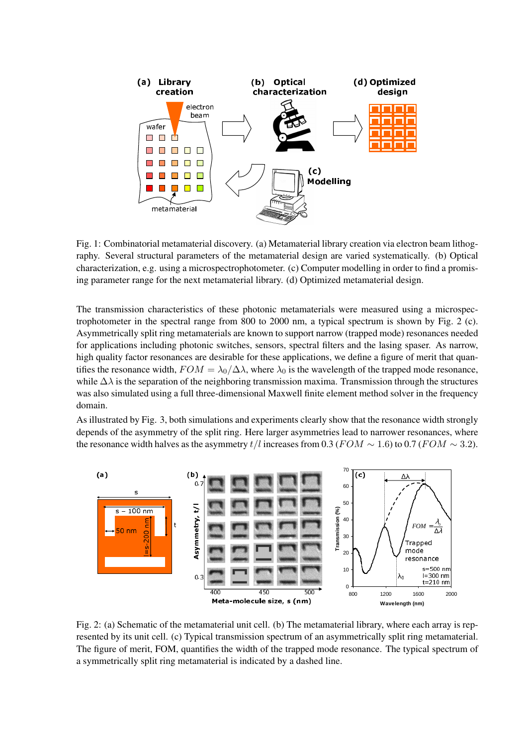

Fig. 1: Combinatorial metamaterial discovery. (a) Metamaterial library creation via electron beam lithography. Several structural parameters of the metamaterial design are varied systematically. (b) Optical characterization, e.g. using a microspectrophotometer. (c) Computer modelling in order to find a promising parameter range for the next metamaterial library. (d) Optimized metamaterial design.

The transmission characteristics of these photonic metamaterials were measured using a microspectrophotometer in the spectral range from 800 to 2000 nm, a typical spectrum is shown by Fig. 2 (c). Asymmetrically split ring metamaterials are known to support narrow (trapped mode) resonances needed for applications including photonic switches, sensors, spectral filters and the lasing spaser. As narrow, high quality factor resonances are desirable for these applications, we define a figure of merit that quantifies the resonance width,  $FOM = \lambda_0/\Delta\lambda$ , where  $\lambda_0$  is the wavelength of the trapped mode resonance, while  $\Delta \lambda$  is the separation of the neighboring transmission maxima. Transmission through the structures was also simulated using a full three-dimensional Maxwell finite element method solver in the frequency domain.

As illustrated by Fig. 3, both simulations and experiments clearly show that the resonance width strongly depends of the asymmetry of the split ring. Here larger asymmetries lead to narrower resonances, where the resonance width halves as the asymmetry  $t/l$  increases from 0.3 ( $FOM \sim 1.6$ ) to 0.7 ( $FOM \sim 3.2$ ).



Fig. 2: (a) Schematic of the metamaterial unit cell. (b) The metamaterial library, where each array is represented by its unit cell. (c) Typical transmission spectrum of an asymmetrically split ring metamaterial. The figure of merit, FOM, quantifies the width of the trapped mode resonance. The typical spectrum of a symmetrically split ring metamaterial is indicated by a dashed line.